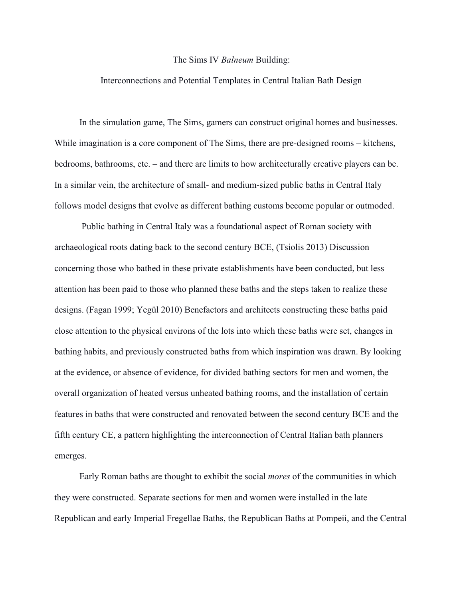## The Sims IV *Balneum* Building:

## Interconnections and Potential Templates in Central Italian Bath Design

In the simulation game, The Sims, gamers can construct original homes and businesses. While imagination is a core component of The Sims, there are pre-designed rooms – kitchens, bedrooms, bathrooms, etc. – and there are limits to how architecturally creative players can be. In a similar vein, the architecture of small- and medium-sized public baths in Central Italy follows model designs that evolve as different bathing customs become popular or outmoded.

Public bathing in Central Italy was a foundational aspect of Roman society with archaeological roots dating back to the second century BCE, (Tsiolis 2013) Discussion concerning those who bathed in these private establishments have been conducted, but less attention has been paid to those who planned these baths and the steps taken to realize these designs. (Fagan 1999; Yegül 2010) Benefactors and architects constructing these baths paid close attention to the physical environs of the lots into which these baths were set, changes in bathing habits, and previously constructed baths from which inspiration was drawn. By looking at the evidence, or absence of evidence, for divided bathing sectors for men and women, the overall organization of heated versus unheated bathing rooms, and the installation of certain features in baths that were constructed and renovated between the second century BCE and the fifth century CE, a pattern highlighting the interconnection of Central Italian bath planners emerges.

Early Roman baths are thought to exhibit the social *mores* of the communities in which they were constructed. Separate sections for men and women were installed in the late Republican and early Imperial Fregellae Baths, the Republican Baths at Pompeii, and the Central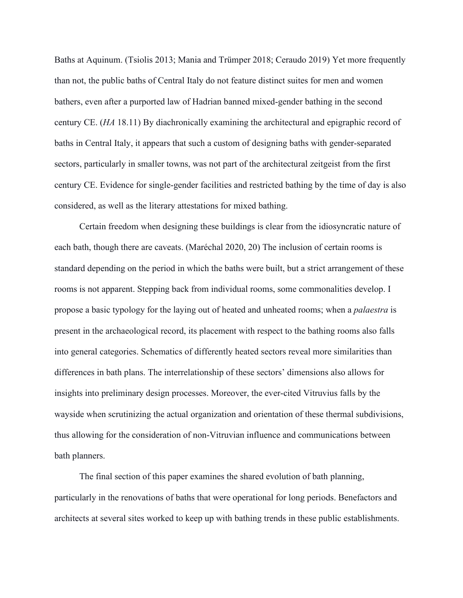Baths at Aquinum. (Tsiolis 2013; Mania and Trümper 2018; Ceraudo 2019) Yet more frequently than not, the public baths of Central Italy do not feature distinct suites for men and women bathers, even after a purported law of Hadrian banned mixed-gender bathing in the second century CE. (*HA* 18.11) By diachronically examining the architectural and epigraphic record of baths in Central Italy, it appears that such a custom of designing baths with gender-separated sectors, particularly in smaller towns, was not part of the architectural zeitgeist from the first century CE. Evidence for single-gender facilities and restricted bathing by the time of day is also considered, as well as the literary attestations for mixed bathing.

Certain freedom when designing these buildings is clear from the idiosyncratic nature of each bath, though there are caveats. (Maréchal 2020, 20) The inclusion of certain rooms is standard depending on the period in which the baths were built, but a strict arrangement of these rooms is not apparent. Stepping back from individual rooms, some commonalities develop. I propose a basic typology for the laying out of heated and unheated rooms; when a *palaestra* is present in the archaeological record, its placement with respect to the bathing rooms also falls into general categories. Schematics of differently heated sectors reveal more similarities than differences in bath plans. The interrelationship of these sectors' dimensions also allows for insights into preliminary design processes. Moreover, the ever-cited Vitruvius falls by the wayside when scrutinizing the actual organization and orientation of these thermal subdivisions, thus allowing for the consideration of non-Vitruvian influence and communications between bath planners.

The final section of this paper examines the shared evolution of bath planning, particularly in the renovations of baths that were operational for long periods. Benefactors and architects at several sites worked to keep up with bathing trends in these public establishments.